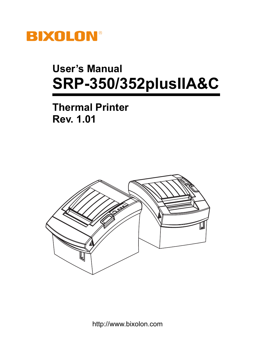

# **User's Manual SRP-350/352plusIIA&C**

# **Thermal Printer Rev. 1.01**



http://www.bixolon.com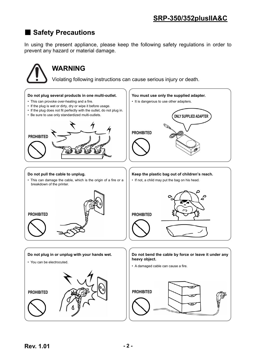# ■ Safety Precautions

In using the present appliance, please keep the following safety regulations in order to prevent any hazard or material damage.

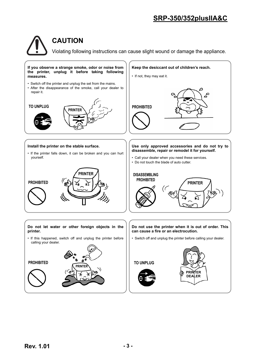

# **CAUTION**

Violating following instructions can cause slight wound or damage the appliance.

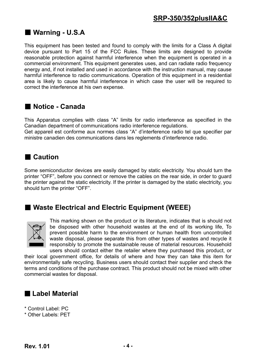### ■ Warning - U.S.A

This equipment has been tested and found to comply with the limits for a Class A digital device pursuant to Part 15 of the FCC Rules. These limits are designed to provide reasonable protection against harmful interference when the equipment is operated in a commercial environment. This equipment generates uses, and can radiate radio frequency energy and, if not installed and used in accordance with the instruction manual, may cause harmful interference to radio communications. Operation of this equipment in a residential area is likely to cause harmful interference in which case the user will be required to correct the interference at his own expense.

### ■ **Notice - Canada**

This Apparatus complies with class "A" limits for radio interference as specified in the Canadian department of communications radio interference regulations.

Get appareil est conforme aux normes class "A" d'interference radio tel que specifier par ministre canadien des communications dans les reglements d'interference radio.

### ■ Caution

Some semiconductor devices are easily damaged by static electricity. You should turn the printer "OFF", before you connect or remove the cables on the rear side, in order to guard the printer against the static electricity. If the printer is damaged by the static electricity, you should turn the printer "OFF".

### ■ Waste Electrical and Electric Equipment (WEEE)



This marking shown on the product or its literature, indicates that is should not be disposed with other household wastes at the end of its working life, To prevent possible harm to the environment or human health from uncontrolled waste disposal, please separate this from other types of wastes and recycle it responsibly to promote the sustainable reuse of material resources. Household users should contact either the retailer where they purchased this product, or

their local government office, for details of where and how they can take this item for environmentally safe recycling. Business users should contact their supplier and check the terms and conditions of the purchase contract. This product should not be mixed with other commercial wastes for disposal.

### ■ **Label Material**

\* Control Label: PC

\* Other Labels: PET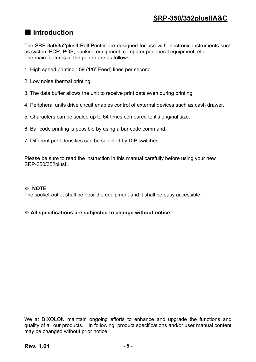### ■ **Introduction**

The SRP-350/352plusII Roll Printer are designed for use with electronic instruments such as system ECR, POS, banking equipment, computer peripheral equipment, etc. The main features of the printer are as follows:

- 1. High speed printing : 59 (1/6" Feed) lines per second.
- 2. Low noise thermal printing.
- 3. The data buffer allows the unit to receive print data even during printing.
- 4. Peripheral units drive circuit enables control of external devices such as cash drawer.
- 5. Characters can be scaled up to 64 times compared to it's original size.
- 6. Bar code printing is possible by using a bar code command.
- 7. Different print densities can be selected by DIP switches.

Please be sure to read the instruction in this manual carefully before using your new SRP-350/352plusII.

#### ※ **NOTE**

The socket-outlet shall be near the equipment and it shall be easy accessible.

#### ※ **All specifications are subjected to change without notice.**

We at BIXOLON maintain ongoing efforts to enhance and upgrade the functions and quality of all our products. In following, product specifications and/or user manual content may be changed without prior notice.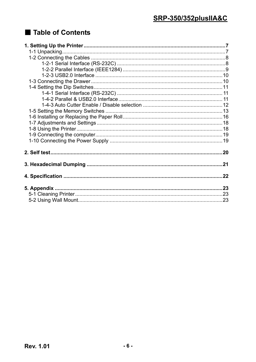# Table of Contents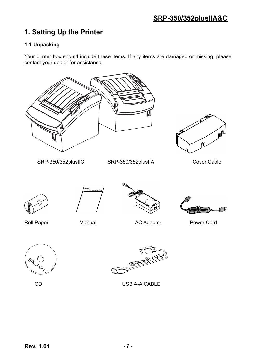# **1. Setting Up the Printer**

### **1-1 Unpacking**

Your printer box should include these items. If any items are damaged or missing, please contact your dealer for assistance.

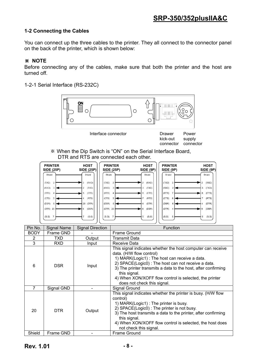#### **1-2 Connecting the Cables**

You can connect up the three cables to the printer. They all connect to the connector panel on the back of the printer, which is shown below:

#### ※ **NOTE**

Before connecting any of the cables, make sure that both the printer and the host are turned off.

1-2-1 Serial Interface (RS-232C)



kick-out connector supply connector

※ When the Dip Switch is "ON" on the Serial Interface Board, DTR and RTS are connected each other.

| <b>PRINTER</b><br><b>SIDE (25P)</b><br>Shield | <b>HOST</b><br><b>SIDE (25P)</b><br>Shield | <b>PRINTER</b><br><b>SIDE (25P)</b><br>Shield | <b>HOST</b><br>SIDE (9P)<br>Shield | <b>PRINTER</b><br><b>SIDE (9P)</b><br>Shield | <b>HOST</b><br><b>SIDE (9P)</b><br>Shield |
|-----------------------------------------------|--------------------------------------------|-----------------------------------------------|------------------------------------|----------------------------------------------|-------------------------------------------|
| (TXD)<br>$\overline{2}$                       | (RXD)                                      | (TXD)                                         | (RXD)                              | (TXD)<br>3                                   | (RXD)                                     |
| (RXD)<br>3                                    | (TXD)                                      | (RXD)                                         | (TXD)<br>3                         | (RXD)                                        | (TXD)<br>з                                |
| (RTS)<br>$\overline{4}$                       | (CTS)                                      | (RTS)<br>4                                    | (CTS)                              | (RTS)                                        | (CTS)                                     |
| (CTS)<br>5                                    | (RTS)                                      | (CTS)<br>5                                    | (RTS)                              | (CTS)<br>Я                                   | (RTS)                                     |
| (DSR)<br>6                                    | (DTR)<br>20                                | (DSR)                                         | (DTR)                              | (DSR)                                        | (DTR)                                     |
| (DTR) 20                                      | (DSR)                                      | (DTR) 20                                      | (DSR)                              | (DTR)                                        | (DSR)                                     |
| (S.G)                                         | (S.G)                                      | (S.G)                                         | (S.G)                              | (S.G)<br>5                                   | (S.G)                                     |

| Pin No.     | Signal Name | <b>Signal Direction</b> | Function                                                                                                                                                                                                                                                                                                                                                                   |
|-------------|-------------|-------------------------|----------------------------------------------------------------------------------------------------------------------------------------------------------------------------------------------------------------------------------------------------------------------------------------------------------------------------------------------------------------------------|
| <b>BODY</b> | Frame GND   |                         | Frame Ground                                                                                                                                                                                                                                                                                                                                                               |
| 2           | TXD         | Output                  | Transmit Data                                                                                                                                                                                                                                                                                                                                                              |
| 3           | <b>RXD</b>  | Input                   | Receive Data                                                                                                                                                                                                                                                                                                                                                               |
| 6           | <b>DSR</b>  | Input                   | This signal indicates whether the host computer can receive<br>data. (H/W flow control)<br>1) MARK(Logic1) : The host can receive a data.<br>2) SPACE(Logic0) : The host can not receive a data.<br>3) The printer transmits a data to the host, after confirming<br>this signal.<br>4) When XON/XOFF flow control is selected, the printer<br>does not check this signal. |
|             | Signal GND  |                         | Signal Ground                                                                                                                                                                                                                                                                                                                                                              |
| 20          | DTR.        | Output                  | This signal indicates whether the printer is busy. (H/W flow<br>control)<br>1) MARK(Logic1) : The printer is busy.<br>2) SPACE(Logic0) : The printer is not busy.<br>3) The host transmits a data to the printer, after confirming<br>this signal.<br>4) When XON/XOFF flow control is selected, the host does<br>not check this signal.                                   |
| Shield      | Frame GND   |                         | Frame Ground                                                                                                                                                                                                                                                                                                                                                               |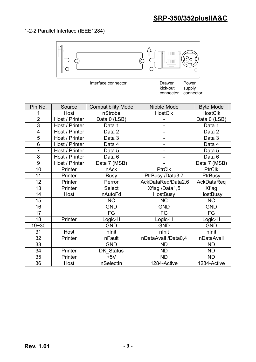### 1-2-2 Parallel Interface (IEEE1284)



Interface connector

Drawer kick-out connector connector Power supply

| Pin No.                 | Source         | <b>Compatibility Mode</b> | Nibble Mode              | <b>Byte Mode</b> |
|-------------------------|----------------|---------------------------|--------------------------|------------------|
| 1                       | Host           | nStrobe                   | <b>HostClk</b>           | <b>HostClk</b>   |
| $\overline{2}$          | Host / Printer | Data 0 (LSB)              |                          | Data 0 (LSB)     |
| $\overline{3}$          | Host / Printer | Data 1                    | $\overline{a}$           | Data 1           |
| $\overline{\mathbf{4}}$ | Host / Printer | Data 2                    | $\overline{\phantom{0}}$ | Data 2           |
| $\overline{5}$          | Host / Printer | Data 3                    |                          | Data 3           |
| 6                       | Host / Printer | Data 4                    |                          | Data 4           |
| $\overline{7}$          | Host / Printer | Data 5                    |                          | Data 5           |
| 8                       | Host / Printer | Data 6                    | $\overline{a}$           | Data 6           |
| $\overline{9}$          | Host / Printer | Data 7 (MSB)              |                          | Data 7 (MSB)     |
| 10                      | Printer        | nAck                      | <b>PtrClk</b>            | <b>PtrClk</b>    |
| 11                      | Printer        | <b>Busy</b>               | PtrBusy /Data3,7         | <b>PtrBusy</b>   |
| 12                      | Printer        | Perror                    | AckDataReq/Data2,6       | AckDataReq       |
| 13                      | Printer        | <b>Select</b>             | Xflag /Data1,5           | Xflag            |
| 14                      | Host           | nAutoFd                   | HostBusy                 | HostBusy         |
| 15                      |                | NC                        | <b>NC</b>                | <b>NC</b>        |
| 16                      |                | <b>GND</b>                | <b>GND</b>               | <b>GND</b>       |
| 17                      |                | FG                        | FG                       | FG               |
| 18                      | Printer        | Logic-H                   | Logic-H                  | Logic-H          |
| $19 - 30$               |                | <b>GND</b>                | <b>GND</b>               | <b>GND</b>       |
| 31                      | Host           | nlnit                     | nlnit                    | nlnit            |
| 32                      | Printer        | nFault                    | nDataAvail /Data0,4      | nDataAvail       |
| 33                      |                | <b>GND</b>                | <b>ND</b>                | <b>ND</b>        |
| 34                      | Printer        | DK Status                 | <b>ND</b>                | <b>ND</b>        |
| 35                      | Printer        | $+5V$                     | <b>ND</b>                | <b>ND</b>        |
| 36                      | Host           | nSelectIn                 | 1284-Active              | 1284-Active      |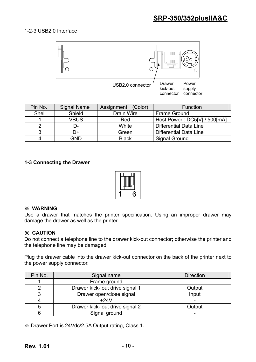#### 1-2-3 USB2.0 Interface



| Pin No. | <b>Signal Name</b> | Assignment (Color) | <b>Function</b>               |
|---------|--------------------|--------------------|-------------------------------|
| Shell   | Shield             | Drain Wire         | Frame Ground                  |
|         | <b>VBUS</b>        | Red                | Host Power: DC5[V] / 500[mA]  |
|         | D-                 | White              | <b>Differential Data Line</b> |
|         | D+                 | Green              | <b>Differential Data Line</b> |
|         | GND                | <b>Black</b>       | <b>Signal Ground</b>          |

#### **1-3 Connecting the Drawer**



#### ※ **WARNING**

Use a drawer that matches the printer specification. Using an improper drawer may damage the drawer as well as the printer.

#### ※ **CAUTION**

Do not connect a telephone line to the drawer kick-out connector; otherwise the printer and the telephone line may be damaged.

Plug the drawer cable into the drawer kick-out connector on the back of the printer next to the power supply connector.

| Pin No. | Signal name                     | <b>Direction</b> |
|---------|---------------------------------|------------------|
|         | Frame ground                    |                  |
|         | Drawer kick- out drive signal 1 | Output           |
|         | Drawer open/close signal        | Input            |
|         | $+24V$                          |                  |
|         | Drawer kick- out drive signal 2 | Output           |
|         | Signal ground                   |                  |

※ Drawer Port is 24Vdc/2.5A Output rating, Class 1.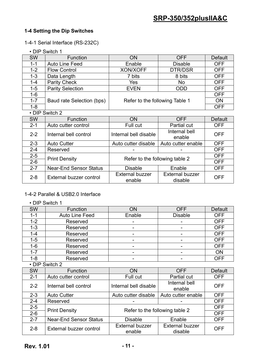### **1-4 Setting the Dip Switches**

- 1-4-1 Serial Interface (RS-232C)
	- DIP Switch 1

| <b>SW</b> | <b>Function</b>               | <b>ON</b>                        | <b>OFF</b>                        | <b>Default</b> |
|-----------|-------------------------------|----------------------------------|-----------------------------------|----------------|
| $1 - 1$   | <b>Auto Line Feed</b>         | Enable                           | <b>Disable</b>                    | <b>OFF</b>     |
| $1 - 2$   | <b>Flow Control</b>           | <b>XON/XOFF</b>                  | DTR/DSR                           | <b>OFF</b>     |
| $1 - 3$   | Data Length                   | 7 bits                           | 8 bits                            | <b>OFF</b>     |
| $1 - 4$   | <b>Parity Check</b>           | Yes                              | No                                | <b>OFF</b>     |
| $1 - 5$   | <b>Parity Selection</b>       | <b>EVEN</b>                      | <b>ODD</b>                        | <b>OFF</b>     |
| $1 - 6$   |                               |                                  |                                   | <b>OFF</b>     |
| $1 - 7$   | Baud rate Selection (bps)     | Refer to the following Table 1   |                                   | ON             |
| $1 - 8$   |                               |                                  |                                   | <b>OFF</b>     |
|           | • DIP Switch 2                |                                  |                                   |                |
| <b>SW</b> | Function                      | <b>ON</b>                        | <b>OFF</b>                        | <b>Default</b> |
| $2 - 1$   | Auto cutter control           | Full cut                         | Partial cut                       | <b>OFF</b>     |
| $2 - 2$   | Internal bell control         | Internal bell disable            | Internal bell<br>enable           | <b>OFF</b>     |
| $2 - 3$   | <b>Auto Cutter</b>            | Auto cutter disable              | Auto cutter enable                | <b>OFF</b>     |
| $2 - 4$   | Reserved                      |                                  |                                   | <b>OFF</b>     |
| $2 - 5$   | <b>Print Density</b>          |                                  |                                   | <b>OFF</b>     |
| $2 - 6$   |                               | Refer to the following table 2   |                                   | <b>OFF</b>     |
| $2 - 7$   | <b>Near-End Sensor Status</b> | <b>Disable</b>                   | Enable                            | <b>OFF</b>     |
| $2 - 8$   | External buzzer control       | <b>External buzzer</b><br>enable | <b>External buzzer</b><br>disable | <b>OFF</b>     |

### 1-4-2 Parallel & USB2.0 Interface

• DIP Switch 1

| <b>SW</b> | <b>Function</b>               | <b>ON</b>                        | <b>OFF</b>                        | <b>Default</b> |
|-----------|-------------------------------|----------------------------------|-----------------------------------|----------------|
| $1 - 1$   | <b>Auto Line Feed</b>         | Enable                           | <b>Disable</b>                    | <b>OFF</b>     |
| $1 - 2$   | Reserved                      |                                  |                                   | <b>OFF</b>     |
| $1 - 3$   | Reserved                      |                                  |                                   | <b>OFF</b>     |
| $1 - 4$   | Reserved                      |                                  | -                                 | <b>OFF</b>     |
| $1 - 5$   | Reserved                      |                                  |                                   | <b>OFF</b>     |
| $1 - 6$   | Reserved                      |                                  |                                   | <b>OFF</b>     |
| $1 - 7$   | Reserved                      |                                  |                                   | ON             |
| $1 - 8$   | Reserved                      |                                  | -                                 | <b>OFF</b>     |
|           | • DIP Switch 2                |                                  |                                   |                |
| <b>SW</b> | Function                      | <b>ON</b>                        | <b>OFF</b>                        | <b>Default</b> |
| $2 - 1$   | Auto cutter control           | Full cut                         | Partial cut                       | <b>OFF</b>     |
| $2 - 2$   | Internal bell control         | Internal bell disable            | Internal bell<br>enable           | <b>OFF</b>     |
| $2 - 3$   | <b>Auto Cutter</b>            | Auto cutter disable              | Auto cutter enable                | <b>OFF</b>     |
| $2 - 4$   | Reserved                      |                                  |                                   | <b>OFF</b>     |
| $2 - 5$   | <b>Print Density</b>          |                                  |                                   | <b>OFF</b>     |
| $2 - 6$   |                               | Refer to the following table 2   |                                   | <b>OFF</b>     |
| $2 - 7$   | <b>Near-End Sensor Status</b> | <b>Disable</b>                   | Enable                            | <b>OFF</b>     |
| $2 - 8$   | External buzzer control       | <b>External buzzer</b><br>enable | <b>External buzzer</b><br>disable | <b>OFF</b>     |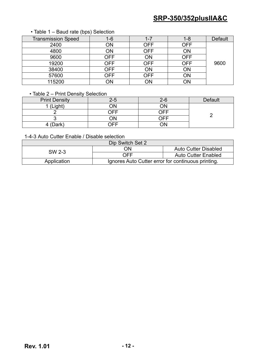### • Table 1 – Baud rate (bps) Selection

| <b>Transmission Speed</b> | $1 - 6$    | 1-7        | $1 - 8$    | <b>Default</b> |
|---------------------------|------------|------------|------------|----------------|
| 2400                      | ΟN         | <b>OFF</b> | <b>OFF</b> |                |
| 4800                      | ΟN         | <b>OFF</b> | ON         |                |
| 9600                      | <b>OFF</b> | <b>ON</b>  | <b>OFF</b> |                |
| 19200                     | <b>OFF</b> | <b>OFF</b> | <b>OFF</b> | 9600           |
| 38400                     | <b>OFF</b> | ON         | ON         |                |
| 57600                     | OFF        | <b>OFF</b> | ON         |                |
| 115200                    | ΟN         | ΟN         | ON         |                |

#### • Table 2 – Print Density Selection

| <b>Print Density</b> | $2 - 5$   | $2 - 6$ | <b>Default</b> |
|----------------------|-----------|---------|----------------|
| (Light)              | ЭN        | ĴК      |                |
|                      | )FF       | )FF     |                |
|                      | <b>JN</b> | )FF     |                |
| 4 (Dark)             | )FF       | ٦Ν      |                |

#### 1-4-3 Auto Cutter Enable / Disable selection

| Dip Switch Set 2 |                                                    |                             |  |  |
|------------------|----------------------------------------------------|-----------------------------|--|--|
| SW 2-3           | ON                                                 | <b>Auto Cutter Disabled</b> |  |  |
|                  | OFF                                                | <b>Auto Cutter Enabled</b>  |  |  |
| Application      | Ignores Auto Cutter error for continuous printing. |                             |  |  |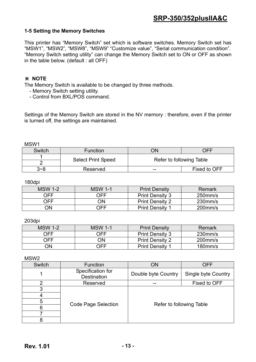#### **1-5 Setting the Memory Switches**

This printer has "Memory Switch" set which is software switches. Memory Switch set has "MSW1", "MSW2", "MSW8", "MSW9" "Customize value", "Serial communication condition". "Memory Switch setting utility" can change the Memory Switch set to ON or OFF as shown in the table below. (default : all OFF)

#### ※ **NOTE**

The Memory Switch is available to be changed by three methods.

- Memory Switch setting utility.
- Control from BXL/POS command.

Settings of the Memory Switch are stored in the NV memory : therefore, even if the printer is turned off, the settings are maintained.

MSW1

| Switch  | <b>Function</b>           | ОN<br>∩FF                |              |
|---------|---------------------------|--------------------------|--------------|
|         | <b>Select Print Speed</b> | Refer to following Table |              |
|         |                           |                          |              |
| $3 - 8$ | Reserved                  | $-$                      | Fixed to OFF |

180dpi

| <b>MSW 1-2</b> | <b>MSW 1-1</b> | <b>Print Density</b>   | Remark     |
|----------------|----------------|------------------------|------------|
| OFF            | OFF            | <b>Print Density 3</b> | $250$ mm/s |
| OFF            | ЛC             | <b>Print Density 2</b> | $230$ mm/s |
| <b>JN</b>      | OFF            | <b>Print Density 1</b> | $200$ mm/s |

203dpi

| <b>MSW 1-2</b> | <b>MSW 1-1</b> | <b>Print Density</b>   | Remark     |
|----------------|----------------|------------------------|------------|
| OFF            | OFF            | <b>Print Density 3</b> | $230$ mm/s |
| ∩FF            | ОN             | <b>Print Density 2</b> | $200$ mm/s |
| ЭN             | OFF            | <b>Print Density 1</b> | $180$ mm/s |

MSW2

| Switch | Function                                | ON                       | <b>OFF</b>          |  |
|--------|-----------------------------------------|--------------------------|---------------------|--|
|        | Specification for<br><b>Destination</b> | Double byte Country      | Single byte Country |  |
| 2      | Reserved                                |                          | Fixed to OFF        |  |
| 3      |                                         | Refer to following Table |                     |  |
|        |                                         |                          |                     |  |
| 5      |                                         |                          |                     |  |
| 6      | <b>Code Page Selection</b>              |                          |                     |  |
|        |                                         |                          |                     |  |
|        |                                         |                          |                     |  |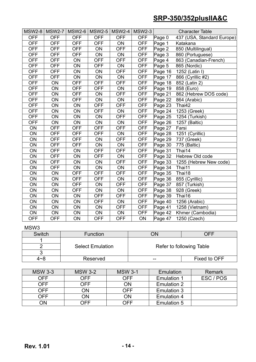| <b>MSW2-8</b> | <b>MSW2-7</b>   | <b>MSW2-6</b>   | <b>MSW2-5</b> | <b>MSW2-4</b> | <b>MSW2-3</b> |         | <b>Character Table</b>     |
|---------------|-----------------|-----------------|---------------|---------------|---------------|---------|----------------------------|
| <b>OFF</b>    | <b>OFF</b>      | <b>OFF</b>      | <b>OFF</b>    | <b>OFF</b>    | <b>OFF</b>    | Page 0  | 437 (USA, Standard Europe) |
| <b>OFF</b>    | OFF             | <b>OFF</b>      | <b>OFF</b>    | ON            | <b>OFF</b>    | Page 1  | Katakana                   |
| <b>OFF</b>    | <b>OFF</b>      | <b>OFF</b>      | ON            | <b>OFF</b>    | <b>OFF</b>    | Page 2  | 850 (Multilingual)         |
| <b>OFF</b>    | <b>OFF</b>      | <b>OFF</b>      | ON            | ON            | <b>OFF</b>    | Page 3  | 860 (Portuguese)           |
| <b>OFF</b>    | <b>OFF</b>      | ON              | <b>OFF</b>    | <b>OFF</b>    | <b>OFF</b>    | Page 4  | 863 (Canadian-French)      |
| <b>OFF</b>    | <b>OFF</b>      | ON              | <b>OFF</b>    | ON            | <b>OFF</b>    | Page 5  | 865 (Nordic)               |
| <b>OFF</b>    | <b>OFF</b>      | ON              | ON            | <b>OFF</b>    | <b>OFF</b>    | Page 16 | 1252 (Latin I)             |
| <b>OFF</b>    | <b>OFF</b>      | ON              | ON            | ON            | <b>OFF</b>    | Page 17 | 866 (Cyrillic #2)          |
| <b>OFF</b>    | ON              | <b>OFF</b>      | <b>OFF</b>    | <b>OFF</b>    | <b>OFF</b>    | Page 18 | 852 (Latin 2)              |
| <b>OFF</b>    | $\overline{ON}$ | <b>OFF</b>      | <b>OFF</b>    | ON            | <b>OFF</b>    | Page 19 | 858 (Euro)                 |
| <b>OFF</b>    | ON              | <b>OFF</b>      | ON            | <b>OFF</b>    | <b>OFF</b>    | Page 21 | 862 (Hebrew DOS code)      |
| <b>OFF</b>    | ON              | <b>OFF</b>      | ON            | ON            | <b>OFF</b>    | Page 22 | 864 (Arabic)               |
| <b>OFF</b>    | ON              | ON              | <b>OFF</b>    | <b>OFF</b>    | <b>OFF</b>    | Page 23 | Thai42                     |
| <b>OFF</b>    | ON              | ON              | <b>OFF</b>    | ON            | <b>OFF</b>    | Page 24 | 1253 (Greek)               |
| <b>OFF</b>    | ON              | ON              | ON            | <b>OFF</b>    | <b>OFF</b>    | Page 25 | 1254 (Turkish)             |
| <b>OFF</b>    | ON              | ON              | ON            | ON            | <b>OFF</b>    | Page 26 | 1257 (Baltic)              |
| ON            | <b>OFF</b>      | <b>OFF</b>      | <b>OFF</b>    | <b>OFF</b>    | <b>OFF</b>    | Page 27 | Farsi                      |
| ON            | <b>OFF</b>      | <b>OFF</b>      | <b>OFF</b>    | ON            | <b>OFF</b>    | Page 28 | 1251 (Cyrillic)            |
| ON            | <b>OFF</b>      | <b>OFF</b>      | ON            | <b>OFF</b>    | <b>OFF</b>    | Page 29 | 737 (Greek)                |
| ON            | <b>OFF</b>      | <b>OFF</b>      | ON            | ON            | <b>OFF</b>    | Page 30 | 775 (Baltic)               |
| ON            | <b>OFF</b>      | ON              | <b>OFF</b>    | <b>OFF</b>    | <b>OFF</b>    | Page 31 | Thai14                     |
| ON            | <b>OFF</b>      | ON              | <b>OFF</b>    | ON            | <b>OFF</b>    | Page 32 | Hebrew Old code            |
| ON            | <b>OFF</b>      | ON              | ON            | <b>OFF</b>    | <b>OFF</b>    | Page 33 | 1255 (Hebrew New code)     |
| ON            | <b>OFF</b>      | $\overline{ON}$ | ON            | ON            | <b>OFF</b>    | Page 34 | Thai11                     |
| ON            | ON              | <b>OFF</b>      | <b>OFF</b>    | <b>OFF</b>    | <b>OFF</b>    | Page 35 | Thai18                     |
| ON            | $\overline{ON}$ | <b>OFF</b>      | <b>OFF</b>    | ON            | <b>OFF</b>    | Page 36 | 855 (Cyrillic)             |
| ON            | ON              | <b>OFF</b>      | ON            | <b>OFF</b>    | <b>OFF</b>    | Page 37 | 857 (Turkish)              |
| ON            | ON              | <b>OFF</b>      | ON            | ON            | <b>OFF</b>    | Page 38 | 928 (Greek)                |
| ON            | ON              | ON              | <b>OFF</b>    | <b>OFF</b>    | <b>OFF</b>    | Page 39 | Thai16                     |
| ON            | ON              | ON              | <b>OFF</b>    | ON            | <b>OFF</b>    | Page 40 | 1256 (Arabic)              |
| ON            | ON              | ON              | ON            | <b>OFF</b>    | <b>OFF</b>    | Page 41 | 1258 (Vietnam)             |
| ON            | ON              | ON              | ON            | ON            | <b>OFF</b>    | Page 42 | Khmer (Cambodia)           |
| <b>OFF</b>    | <b>OFF</b>      | ON              | <b>OFF</b>    | <b>OFF</b>    | ON            | Page 47 | 1250 (Czech)               |

#### MSW3

| <b>Switch</b> | <b>Function</b>         | ЭN                       |              |  |  |
|---------------|-------------------------|--------------------------|--------------|--|--|
|               |                         |                          |              |  |  |
|               | <b>Select Emulation</b> | Refer to following Table |              |  |  |
|               |                         |                          |              |  |  |
| 4~8           | Reserved                | $- -$                    | Fixed to OFF |  |  |

| <b>MSW 3-3</b> | <b>MSW 3-2</b> | <b>MSW 3-1</b> | Emulation          | Remark    |
|----------------|----------------|----------------|--------------------|-----------|
| OFF.           | OFF            | OFF            | <b>Emulation 1</b> | ESC / POS |
| <b>OFF</b>     | OFF            | ЭN             | <b>Emulation 2</b> |           |
| <b>OFF</b>     | ОN             | <b>OFF</b>     | <b>Emulation 3</b> |           |
| OFF            | ΟN             | ΟN             | <b>Emulation 4</b> |           |
| OΝ             | OFF            | 7FF            | <b>Emulation 5</b> |           |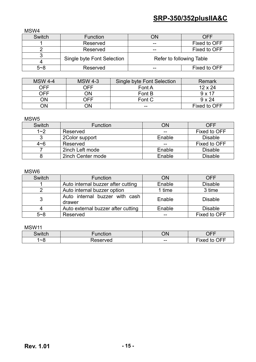#### MSW4

| Switch  | <b>Function</b>            | ΟN                       | OFF          |  |  |
|---------|----------------------------|--------------------------|--------------|--|--|
|         | Reserved                   | $- -$                    | Fixed to OFF |  |  |
|         | Reserved                   | Fixed to OFF<br>--       |              |  |  |
|         | Single byte Font Selection | Refer to following Table |              |  |  |
|         |                            |                          |              |  |  |
| $5 - 8$ | Reserved                   | --                       | Fixed to OFF |  |  |

| <b>MSW 4-4</b> | <b>MSW 4-3</b> | Single byte Font Selection | Remark         |
|----------------|----------------|----------------------------|----------------|
| <b>OFF</b>     | OFF.           | Font A                     | $12 \times 24$ |
| ∩FF            | วN ิ           | Font B                     | $9 \times 17$  |
| ОN             | ∩FF            | Font C                     | $9 \times 24$  |
| λN             | λN             | --                         | Fixed to OFF   |

### MSW5

| Switch  | <b>Function</b>   | ΟN     | OFF            |
|---------|-------------------|--------|----------------|
| $1 - 2$ | Reserved          | $- -$  | Fixed to OFF   |
|         | 2Color support    | Enable | <b>Disable</b> |
| 4~6     | Reserved          | --     | Fixed to OFF   |
|         | 2inch Left mode   | Enable | <b>Disable</b> |
|         | 2inch Center mode | Enable | <b>Disable</b> |

### MSW6

| Switch  | <b>Function</b>                          | <b>ON</b> | <b>OFF</b>     |
|---------|------------------------------------------|-----------|----------------|
|         | Auto internal buzzer after cutting       | Enable    | <b>Disable</b> |
|         | Auto internal buzzer option              | 1 time    | 3 time         |
| 3       | Auto internal buzzer with cash<br>drawer | Enable    | <b>Disable</b> |
| 4       | Auto external buzzer after cutting       | Enable    | <b>Disable</b> |
| $5 - 8$ | Reserved                                 | --        | Fixed to OFF   |

#### MSW11

| Switch  | 11221222<br>unction | ON | ◡੶                                            |
|---------|---------------------|----|-----------------------------------------------|
| ∼×<br>∼ | ⊀eserved            | -- | $\sim$ $-$<br>∙ixed<br>. .<br>エート<br>ັ<br>. . |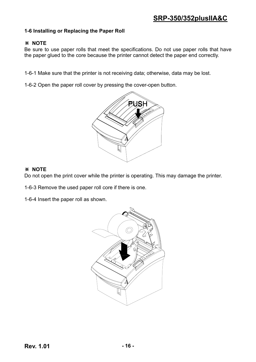#### **1-6 Installing or Replacing the Paper Roll**

#### ※ **NOTE**

Be sure to use paper rolls that meet the specifications. Do not use paper rolls that have the paper glued to the core because the printer cannot detect the paper end correctly.

1-6-1 Make sure that the printer is not receiving data; otherwise, data may be lost.

1-6-2 Open the paper roll cover by pressing the cover-open button.



#### ※ **NOTE**

Do not open the print cover while the printer is operating. This may damage the printer.

1-6-3 Remove the used paper roll core if there is one.

1-6-4 Insert the paper roll as shown.

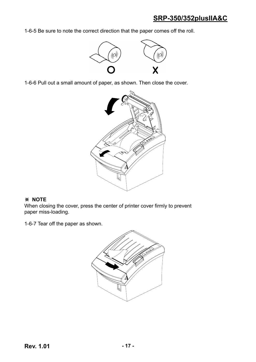1-6-5 Be sure to note the correct direction that the paper comes off the roll.



1-6-6 Pull out a small amount of paper, as shown. Then close the cover.



#### ※ **NOTE**

When closing the cover, press the center of printer cover firmly to prevent paper miss-loading.

1-6-7 Tear off the paper as shown.

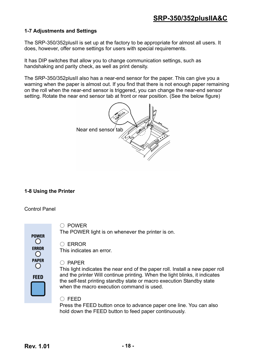#### **1-7 Adjustments and Settings**

The SRP-350/352plusII is set up at the factory to be appropriate for almost all users. It does, however, offer some settings for users with special requirements.

It has DIP switches that allow you to change communication settings, such as handshaking and parity check, as well as print density.

The SRP-350/352plusII also has a near-end sensor for the paper. This can give you a warning when the paper is almost out. If you find that there is not enough paper remaining on the roll when the near-end sensor is triggered, you can change the near-end sensor setting. Rotate the near end sensor tab at front or rear position. (See the below figure)



### **1-8 Using the Printer**

Control Panel

**POWER**  $\circ$ **ERROR**  $\bigcirc$ **PAPER**  $\bigcirc$ 

**FEED** 

○ POWER The POWER light is on whenever the printer is on. ○ ERROR This indicates an error. ○ PAPER This light indicates the near end of the paper roll. Install a new paper roll and the printer Will continue printing. When the light blinks, it indicates the self-test printing standby state or macro execution Standby state when the macro execution command is used.

### ○ FEED

Press the FEED button once to advance paper one line. You can also hold down the FEED button to feed paper continuously.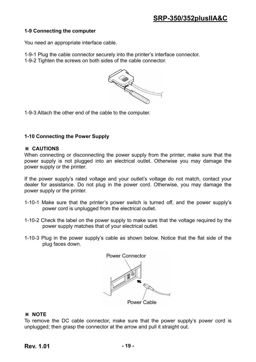#### **1-9 Connecting the computer**

You need an appropriate interface cable.

1-9-1 Plug the cable connector securely into the printer's interface connector. 1-9-2 Tighten the screws on both sides of the cable connector.



1-9-3 Attach the other end of the cable to the computer.

#### **1-10 Connecting the Power Supply**

#### ※ **CAUTIONS**

When connecting or disconnecting the power supply from the printer, make sure that the power supply is not plugged into an electrical outlet. Otherwise you may damage the power supply or the printer.

If the power supply's rated voltage and your outlet's voltage do not match, contact your dealer for assistance. Do not plug in the power cord. Otherwise, you may damage the power supply or the printer.

- 1-10-1 Make sure that the printer's power switch is turned off, and the power supply's power cord is unplugged from the electrical outlet.
- 1-10-2 Check the label on the power supply to make sure that the voltage required by the power supply matches that of your electrical outlet.
- 1-10-3 Plug in the power supply's cable as shown below. Notice that the flat side of the plug faces down.



#### ※ **NOTE**

To remove the DC cable connector, make sure that the power supply's power cord is unplugged; then grasp the connector at the arrow and pull it straight out.

### **Rev. 1.01** - 19 -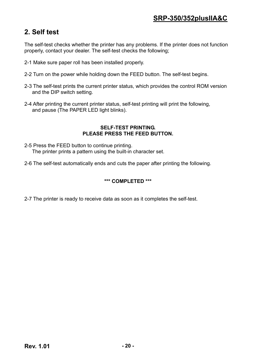# **2. Self test**

The self-test checks whether the printer has any problems. If the printer does not function properly, contact your dealer. The self-test checks the following;

- 2-1 Make sure paper roll has been installed properly.
- 2-2 Turn on the power while holding down the FEED button. The self-test begins.
- 2-3 The self-test prints the current printer status, which provides the control ROM version and the DIP switch setting.
- 2-4 After printing the current printer status, self-test printing will print the following, and pause (The PAPER LED light blinks).

#### **SELF-TEST PRINTING. PLEASE PRESS THE FEED BUTTON.**

- 2-5 Press the FEED button to continue printing. The printer prints a pattern using the built-in character set.
- 2-6 The self-test automatically ends and cuts the paper after printing the following.

### **\*\*\* COMPLETED \*\*\***

2-7 The printer is ready to receive data as soon as it completes the self-test.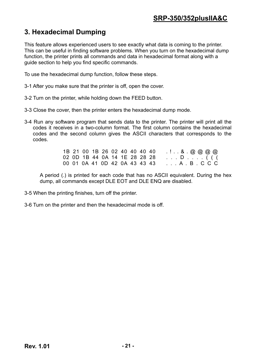# **3. Hexadecimal Dumping**

This feature allows experienced users to see exactly what data is coming to the printer. This can be useful in finding software problems. When you turn on the hexadecimal dump function, the printer prints all commands and data in hexadecimal format along with a guide section to help you find specific commands.

To use the hexadecimal dump function, follow these steps.

3-1 After you make sure that the printer is off, open the cover.

- 3-2 Turn on the printer, while holding down the FEED button.
- 3-3 Close the cover, then the printer enters the hexadecimal dump mode.
- 3-4 Run any software program that sends data to the printer. The printer will print all the codes it receives in a two-column format. The first column contains the hexadecimal codes and the second column gives the ASCII characters that corresponds to the codes.

|  |  | 1B 21 00 1B 26 02 40 40 40 40 |  |  | . ! . & . @ @ @ @                    |
|--|--|-------------------------------|--|--|--------------------------------------|
|  |  | 02 0D 1B 44 0A 14 1E 28 28 28 |  |  | . D (((                              |
|  |  | 00 01 0A 41 0D 42 0A 43 43 43 |  |  | $\ldots$ A $\ldots$ B $\ldots$ C C C |

A period (.) is printed for each code that has no ASCII equivalent. During the hex dump, all commands except DLE EOT and DLE ENQ are disabled.

3-5 When the printing finishes, turn off the printer.

3-6 Turn on the printer and then the hexadecimal mode is off.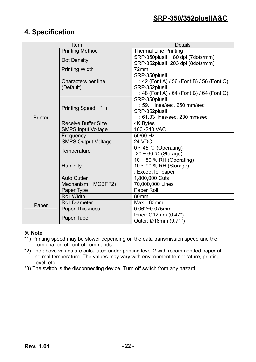## **4. Specification**

| <b>Item</b> |                                  | <b>Details</b>                                                                                                           |
|-------------|----------------------------------|--------------------------------------------------------------------------------------------------------------------------|
| Printer     | <b>Printing Method</b>           | <b>Thermal Line Printing</b>                                                                                             |
|             | Dot Density                      | SRP-350plusII: 180 dpi (7dots/mm)<br>SRP-352plusII: 203 dpi (8dots/mm)                                                   |
|             | <b>Printing Width</b>            | 72mm                                                                                                                     |
|             | Characters per line<br>(Default) | SRP-350plusII<br>: 42 (Font A) / 56 (Font B) / 56 (Font C)<br>SRP-352plusII<br>: 48 (Font A) / 64 (Font B) / 64 (Font C) |
|             | Printing Speed *1)               | SRP-350plusII<br>: 59.1 lines/sec, 250 mm/sec<br>SRP-352plusII<br>: 61.33 lines/sec, 230 mm/sec                          |
|             | <b>Receive Buffer Size</b>       | 4K Bytes                                                                                                                 |
|             | <b>SMPS Input Voltage</b>        | 100~240 VAC                                                                                                              |
|             | Frequency                        | 50/60 Hz                                                                                                                 |
|             | <b>SMPS Output Voltage</b>       | 24 VDC                                                                                                                   |
|             | Temperature                      | $0 - 45$ °C (Operating)<br>$-20 \sim 60$ °C (Storage)                                                                    |
|             | <b>Humidity</b>                  | $10 \sim 80$ % RH (Operating)<br>10~90 % RH (Storage)<br>; Except for paper                                              |
|             | <b>Auto Cutter</b>               | 1,800,000 Cuts                                                                                                           |
|             | $MCBF *2)$<br>Mechanism          | 70,000,000 Lines                                                                                                         |
| Paper       | Paper Type                       | Paper Roll                                                                                                               |
|             | <b>Roll Width</b>                | 80mm                                                                                                                     |
|             | <b>Roll Diameter</b>             | Max 83mm                                                                                                                 |
|             | <b>Paper Thickness</b>           | 0.062~0.075mm                                                                                                            |
|             | Paper Tube                       | Inner: Ø12mm (0.47")<br>Outer: Ø18mm (0.71")                                                                             |

### ※ **Note**

- \*1) Printing speed may be slower depending on the data transmission speed and the combination of control commands.
- \*2) The above values are calculated under printing level 2 with recommended paper at normal temperature. The values may vary with environment temperature, printing level, etc.
- \*3) The switch is the disconnecting device. Turn off switch from any hazard.